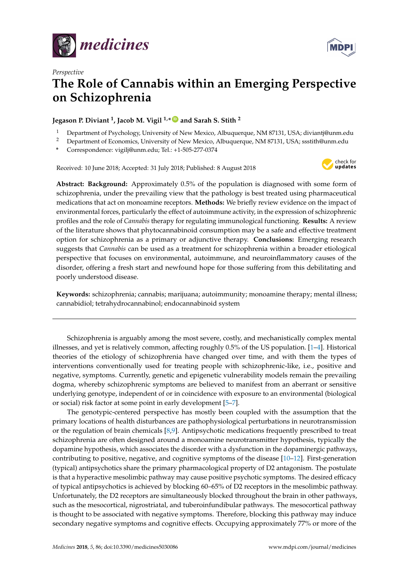



## *Perspective* **The Role of Cannabis within an Emerging Perspective on Schizophrenia**

**Jegason P. Diviant <sup>1</sup> , Jacob M. Vigil 1,\* [ID](https://orcid.org/0000-0002-8534-2215) and Sarah S. Stith <sup>2</sup>**

- <sup>1</sup> Department of Psychology, University of New Mexico, Albuquerque, NM 87131, USA; diviantj@unm.edu<br><sup>2</sup> Department of Economics University of New Mexico, Albuquerque, NM 87131, USA; sestith@unm.edu
- <sup>2</sup> Department of Economics, University of New Mexico, Albuquerque, NM 87131, USA; ssstith@unm.edu
- **\*** Correspondence: vigilj@unm.edu; Tel.: +1-505-277-0374

Received: 10 June 2018; Accepted: 31 July 2018; Published: 8 August 2018



**Abstract: Background:** Approximately 0.5% of the population is diagnosed with some form of schizophrenia, under the prevailing view that the pathology is best treated using pharmaceutical medications that act on monoamine receptors. **Methods:** We briefly review evidence on the impact of environmental forces, particularly the effect of autoimmune activity, in the expression of schizophrenic profiles and the role of *Cannabis* therapy for regulating immunological functioning. **Results:** A review of the literature shows that phytocannabinoid consumption may be a safe and effective treatment option for schizophrenia as a primary or adjunctive therapy. **Conclusions:** Emerging research suggests that *Cannabis* can be used as a treatment for schizophrenia within a broader etiological perspective that focuses on environmental, autoimmune, and neuroinflammatory causes of the disorder, offering a fresh start and newfound hope for those suffering from this debilitating and poorly understood disease.

**Keywords:** schizophrenia; cannabis; marijuana; autoimmunity; monoamine therapy; mental illness; cannabidiol; tetrahydrocannabinol; endocannabinoid system

Schizophrenia is arguably among the most severe, costly, and mechanistically complex mental illnesses, and yet is relatively common, affecting roughly 0.5% of the US population. [\[1–](#page-4-0)[4\]](#page-5-0). Historical theories of the etiology of schizophrenia have changed over time, and with them the types of interventions conventionally used for treating people with schizophrenic-like, i.e., positive and negative, symptoms. Currently, genetic and epigenetic vulnerability models remain the prevailing dogma, whereby schizophrenic symptoms are believed to manifest from an aberrant or sensitive underlying genotype, independent of or in coincidence with exposure to an environmental (biological or social) risk factor at some point in early development [\[5](#page-5-1)[–7\]](#page-5-2).

The genotypic-centered perspective has mostly been coupled with the assumption that the primary locations of health disturbances are pathophysiological perturbations in neurotransmission or the regulation of brain chemicals [\[8](#page-5-3)[,9\]](#page-5-4). Antipsychotic medications frequently prescribed to treat schizophrenia are often designed around a monoamine neurotransmitter hypothesis, typically the dopamine hypothesis, which associates the disorder with a dysfunction in the dopaminergic pathways, contributing to positive, negative, and cognitive symptoms of the disease [\[10](#page-5-5)[–12\]](#page-5-6). First-generation (typical) antipsychotics share the primary pharmacological property of D2 antagonism. The postulate is that a hyperactive mesolimbic pathway may cause positive psychotic symptoms. The desired efficacy of typical antipsychotics is achieved by blocking 60–65% of D2 receptors in the mesolimbic pathway. Unfortunately, the D2 receptors are simultaneously blocked throughout the brain in other pathways, such as the mesocortical, nigrostriatal, and tuberoinfundibular pathways. The mesocortical pathway is thought to be associated with negative symptoms. Therefore, blocking this pathway may induce secondary negative symptoms and cognitive effects. Occupying approximately 77% or more of the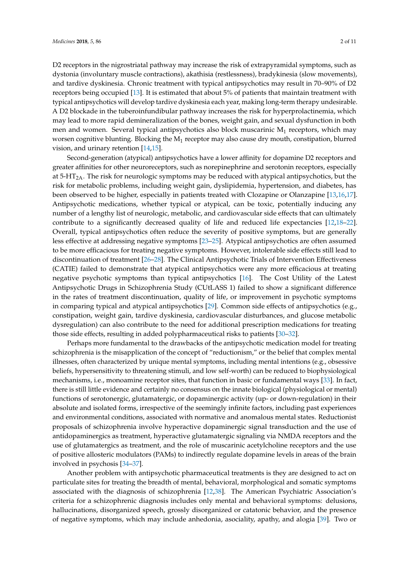D2 receptors in the nigrostriatal pathway may increase the risk of extrapyramidal symptoms, such as dystonia (involuntary muscle contractions), akathisia (restlessness), bradykinesia (slow movements), and tardive dyskinesia. Chronic treatment with typical antipsychotics may result in 70–90% of D2 receptors being occupied [\[13\]](#page-5-7). It is estimated that about 5% of patients that maintain treatment with typical antipsychotics will develop tardive dyskinesia each year, making long-term therapy undesirable. A D2 blockade in the tuberoinfundibular pathway increases the risk for hyperprolactinemia, which may lead to more rapid demineralization of the bones, weight gain, and sexual dysfunction in both men and women. Several typical antipsychotics also block muscarinic  $M_1$  receptors, which may worsen cognitive blunting. Blocking the  $M_1$  receptor may also cause dry mouth, constipation, blurred vision, and urinary retention [\[14,](#page-5-8)[15\]](#page-5-9).

Second-generation (atypical) antipsychotics have a lower affinity for dopamine D2 receptors and greater affinities for other neuroreceptors, such as norepinephrine and serotonin receptors, especially at  $5-\text{HT}_{2A}$ . The risk for neurologic symptoms may be reduced with atypical antipsychotics, but the risk for metabolic problems, including weight gain, dyslipidemia, hypertension, and diabetes, has been observed to be higher, especially in patients treated with Clozapine or Olanzapine [\[13,](#page-5-7)[16,](#page-5-10)[17\]](#page-5-11). Antipsychotic medications, whether typical or atypical, can be toxic, potentially inducing any number of a lengthy list of neurologic, metabolic, and cardiovascular side effects that can ultimately contribute to a significantly decreased quality of life and reduced life expectancies [\[12,](#page-5-6)[18–](#page-5-12)[22\]](#page-5-13). Overall, typical antipsychotics often reduce the severity of positive symptoms, but are generally less effective at addressing negative symptoms [\[23–](#page-5-14)[25\]](#page-5-15). Atypical antipsychotics are often assumed to be more efficacious for treating negative symptoms. However, intolerable side effects still lead to discontinuation of treatment [\[26](#page-6-0)[–28\]](#page-6-1). The Clinical Antipsychotic Trials of Intervention Effectiveness (CATIE) failed to demonstrate that atypical antipsychotics were any more efficacious at treating negative psychotic symptoms than typical antipsychotics [\[16\]](#page-5-10). The Cost Utility of the Latest Antipsychotic Drugs in Schizophrenia Study (CUtLASS 1) failed to show a significant difference in the rates of treatment discontinuation, quality of life, or improvement in psychotic symptoms in comparing typical and atypical antipsychotics [\[29\]](#page-6-2). Common side effects of antipsychotics (e.g., constipation, weight gain, tardive dyskinesia, cardiovascular disturbances, and glucose metabolic dysregulation) can also contribute to the need for additional prescription medications for treating those side effects, resulting in added polypharmaceutical risks to patients [\[30](#page-6-3)[–32\]](#page-6-4).

Perhaps more fundamental to the drawbacks of the antipsychotic medication model for treating schizophrenia is the misapplication of the concept of "reductionism," or the belief that complex mental illnesses, often characterized by unique mental symptoms, including mental intentions (e.g., obsessive beliefs, hypersensitivity to threatening stimuli, and low self-worth) can be reduced to biophysiological mechanisms, i.e., monoamine receptor sites, that function in basic or fundamental ways [\[33\]](#page-6-5). In fact, there is still little evidence and certainly no consensus on the innate biological (physiological or mental) functions of serotonergic, glutamatergic, or dopaminergic activity (up- or down-regulation) in their absolute and isolated forms, irrespective of the seemingly infinite factors, including past experiences and environmental conditions, associated with normative and anomalous mental states. Reductionist proposals of schizophrenia involve hyperactive dopaminergic signal transduction and the use of antidopaminergics as treatment, hyperactive glutamatergic signaling via NMDA receptors and the use of glutamatergics as treatment, and the role of muscarinic acetylcholine receptors and the use of positive allosteric modulators (PAMs) to indirectly regulate dopamine levels in areas of the brain involved in psychosis [\[34–](#page-6-6)[37\]](#page-6-7).

Another problem with antipsychotic pharmaceutical treatments is they are designed to act on particulate sites for treating the breadth of mental, behavioral, morphological and somatic symptoms associated with the diagnosis of schizophrenia [\[12,](#page-5-6)[38\]](#page-6-8). The American Psychiatric Association's criteria for a schizophrenic diagnosis includes only mental and behavioral symptoms: delusions, hallucinations, disorganized speech, grossly disorganized or catatonic behavior, and the presence of negative symptoms, which may include anhedonia, asociality, apathy, and alogia [\[39\]](#page-6-9). Two or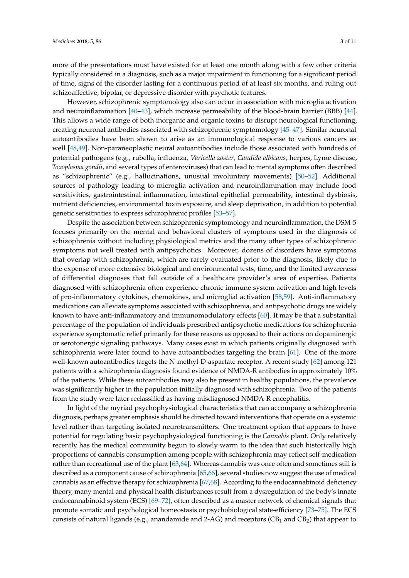more of the presentations must have existed for at least one month along with a few other criteria typically considered in a diagnosis, such as a major impairment in functioning for a significant period of time, signs of the disorder lasting for a continuous period of at least six months, and ruling out schizoaffective, bipolar, or depressive disorder with psychotic features.

However, schizophrenic symptomology also can occur in association with microglia activation and neuroinflammation [\[40](#page-6-10)[–43\]](#page-6-11), which increase permeability of the blood-brain barrier (BBB) [\[44\]](#page-6-12). This allows a wide range of both inorganic and organic toxins to disrupt neurological functioning, creating neuronal antibodies associated with schizophrenic symptomology [\[45](#page-6-13)[–47\]](#page-7-0). Similar neuronal autoantibodies have been shown to arise as an immunological response to various cancers as well [\[48,](#page-7-1)[49\]](#page-7-2). Non-paraneoplastic neural autoantibodies include those associated with hundreds of potential pathogens (e.g., rubella, influenza, *Varicella zoster*, *Candida albicans*, herpes, Lyme disease, *Toxoplasma gondii*, and several types of enteroviruses) that can lead to mental symptoms often described as "schizophrenic" (e.g., hallucinations, unusual involuntary movements) [\[50–](#page-7-3)[52\]](#page-7-4). Additional sources of pathology leading to microglia activation and neuroinflammation may include food sensitivities, gastrointestinal inflammation, intestinal epithelial permeability, intestinal dysbiosis, nutrient deficiencies, environmental toxin exposure, and sleep deprivation, in addition to potential genetic sensitivities to express schizophrenic profiles [\[53–](#page-7-5)[57\]](#page-7-6).

Despite the association between schizophrenic symptomology and neuroinflammation, the DSM-5 focuses primarily on the mental and behavioral clusters of symptoms used in the diagnosis of schizophrenia without including physiological metrics and the many other types of schizophrenic symptoms not well treated with antipsychotics. Moreover, dozens of disorders have symptoms that overlap with schizophrenia, which are rarely evaluated prior to the diagnosis, likely due to the expense of more extensive biological and environmental tests, time, and the limited awareness of differential diagnoses that fall outside of a healthcare provider's area of expertise. Patients diagnosed with schizophrenia often experience chronic immune system activation and high levels of pro-inflammatory cytokines, chemokines, and microglial activation [\[58](#page-7-7)[,59\]](#page-7-8). Anti-inflammatory medications can alleviate symptoms associated with schizophrenia, and antipsychotic drugs are widely known to have anti-inflammatory and immunomodulatory effects [\[60\]](#page-7-9). It may be that a substantial percentage of the population of individuals prescribed antipsychotic medications for schizophrenia experience symptomatic relief primarily for these reasons as opposed to their actions on dopaminergic or serotonergic signaling pathways. Many cases exist in which patients originally diagnosed with schizophrenia were later found to have autoantibodies targeting the brain [\[61\]](#page-7-10). One of the more well-known autoantibodies targets the N-methyl-D-aspartate receptor. A recent study [\[62\]](#page-7-11) among 121 patients with a schizophrenia diagnosis found evidence of NMDA-R antibodies in approximately 10% of the patients. While these autoantibodies may also be present in healthy populations, the prevalence was significantly higher in the population initially diagnosed with schizophrenia. Two of the patients from the study were later reclassified as having misdiagnosed NMDA-R encephalitis.

In light of the myriad psychophysiological characteristics that can accompany a schizophrenia diagnosis, perhaps greater emphasis should be directed toward interventions that operate on a systemic level rather than targeting isolated neurotransmitters. One treatment option that appears to have potential for regulating basic psychophysiological functioning is the *Cannabis* plant. Only relatively recently has the medical community begun to slowly warm to the idea that such historically high proportions of cannabis consumption among people with schizophrenia may reflect self-medication rather than recreational use of the plant [\[63](#page-7-12)[,64\]](#page-7-13). Whereas cannabis was once often and sometimes still is described as a component cause of schizophrenia [\[65,](#page-7-14)[66\]](#page-7-15), several studies now suggest the use of medical cannabis as an effective therapy for schizophrenia [\[67](#page-8-0)[,68\]](#page-8-1). According to the endocannabinoid deficiency theory, many mental and physical health disturbances result from a dysregulation of the body's innate endocannabinoid system (ECS) [\[69](#page-8-2)[–72\]](#page-8-3), often described as a master network of chemical signals that promote somatic and psychological homeostasis or psychobiological state-efficiency [\[73–](#page-8-4)[75\]](#page-8-5). The ECS consists of natural ligands (e.g., anandamide and 2-AG) and receptors (CB<sub>1</sub> and CB<sub>2</sub>) that appear to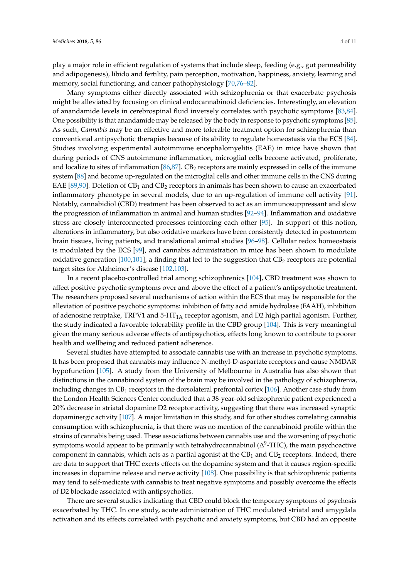play a major role in efficient regulation of systems that include sleep, feeding (e.g., gut permeability and adipogenesis), libido and fertility, pain perception, motivation, happiness, anxiety, learning and memory, social functioning, and cancer pathophysiology [\[70](#page-8-6)[,76](#page-8-7)[–82\]](#page-8-8).

Many symptoms either directly associated with schizophrenia or that exacerbate psychosis might be alleviated by focusing on clinical endocannabinoid deficiencies. Interestingly, an elevation of anandamide levels in cerebrospinal fluid inversely correlates with psychotic symptoms [\[83,](#page-8-9)[84\]](#page-8-10). One possibility is that anandamide may be released by the body in response to psychotic symptoms [\[85\]](#page-8-11). As such, *Cannabis* may be an effective and more tolerable treatment option for schizophrenia than conventional antipsychotic therapies because of its ability to regulate homeostasis via the ECS [\[84\]](#page-8-10). Studies involving experimental autoimmune encephalomyelitis (EAE) in mice have shown that during periods of CNS autoimmune inflammation, microglial cells become activated, proliferate, and localize to sites of inflammation  $[86,87]$  $[86,87]$ . CB<sub>2</sub> receptors are mainly expressed in cells of the immune system [\[88\]](#page-8-14) and become up-regulated on the microglial cells and other immune cells in the CNS during EAE [\[89,](#page-9-0)[90\]](#page-9-1). Deletion of  $CB_1$  and  $CB_2$  receptors in animals has been shown to cause an exacerbated inflammatory phenotype in several models, due to an up-regulation of immune cell activity [\[91\]](#page-9-2). Notably, cannabidiol (CBD) treatment has been observed to act as an immunosuppressant and slow the progression of inflammation in animal and human studies [\[92–](#page-9-3)[94\]](#page-9-4). Inflammation and oxidative stress are closely interconnected processes reinforcing each other [\[95\]](#page-9-5). In support of this notion, alterations in inflammatory, but also oxidative markers have been consistently detected in postmortem brain tissues, living patients, and translational animal studies [\[96–](#page-9-6)[98\]](#page-9-7). Cellular redox homeostasis is modulated by the ECS [\[99\]](#page-9-8), and cannabis administration in mice has been shown to modulate oxidative generation  $[100,101]$  $[100,101]$ , a finding that led to the suggestion that CB<sub>2</sub> receptors are potential target sites for Alzheimer's disease [\[102,](#page-9-11)[103\]](#page-9-12).

In a recent placebo-controlled trial among schizophrenics [\[104\]](#page-9-13), CBD treatment was shown to affect positive psychotic symptoms over and above the effect of a patient's antipsychotic treatment. The researchers proposed several mechanisms of action within the ECS that may be responsible for the alleviation of positive psychotic symptoms: inhibition of fatty acid amide hydrolase (FAAH), inhibition of adenosine reuptake, TRPV1 and  $5-HT<sub>1A</sub>$  receptor agonism, and D2 high partial agonism. Further, the study indicated a favorable tolerability profile in the CBD group [\[104\]](#page-9-13). This is very meaningful given the many serious adverse effects of antipsychotics, effects long known to contribute to poorer health and wellbeing and reduced patient adherence.

Several studies have attempted to associate cannabis use with an increase in psychotic symptoms. It has been proposed that cannabis may influence N-methyl-D-aspartate receptors and cause NMDAR hypofunction [\[105\]](#page-9-14). A study from the University of Melbourne in Australia has also shown that distinctions in the cannabinoid system of the brain may be involved in the pathology of schizophrenia, including changes in  $CB_1$  receptors in the dorsolateral prefrontal cortex  $[106]$ . Another case study from the London Health Sciences Center concluded that a 38-year-old schizophrenic patient experienced a 20% decrease in striatal dopamine D2 receptor activity, suggesting that there was increased synaptic dopaminergic activity [\[107\]](#page-9-16). A major limitation in this study, and for other studies correlating cannabis consumption with schizophrenia, is that there was no mention of the cannabinoid profile within the strains of cannabis being used. These associations between cannabis use and the worsening of psychotic symptoms would appear to be primarily with tetrahydrocannabinol ( $\Delta^9$ -THC), the main psychoactive component in cannabis, which acts as a partial agonist at the  $CB<sub>1</sub>$  and  $CB<sub>2</sub>$  receptors. Indeed, there are data to support that THC exerts effects on the dopamine system and that it causes region-specific increases in dopamine release and nerve activity [\[108\]](#page-9-17). One possibility is that schizophrenic patients may tend to self-medicate with cannabis to treat negative symptoms and possibly overcome the effects of D2 blockade associated with antipsychotics.

There are several studies indicating that CBD could block the temporary symptoms of psychosis exacerbated by THC. In one study, acute administration of THC modulated striatal and amygdala activation and its effects correlated with psychotic and anxiety symptoms, but CBD had an opposite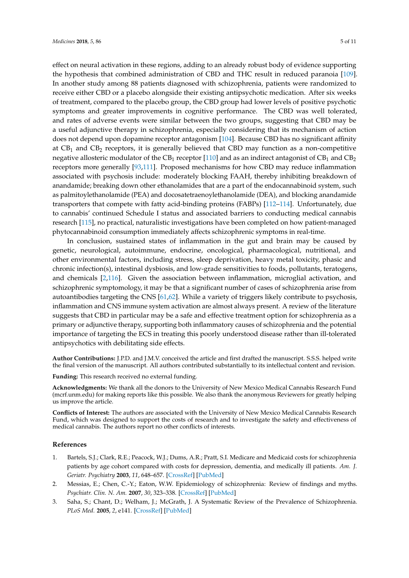effect on neural activation in these regions, adding to an already robust body of evidence supporting the hypothesis that combined administration of CBD and THC result in reduced paranoia [\[109\]](#page-9-18). In another study among 88 patients diagnosed with schizophrenia, patients were randomized to receive either CBD or a placebo alongside their existing antipsychotic medication. After six weeks of treatment, compared to the placebo group, the CBD group had lower levels of positive psychotic symptoms and greater improvements in cognitive performance. The CBD was well tolerated, and rates of adverse events were similar between the two groups, suggesting that CBD may be a useful adjunctive therapy in schizophrenia, especially considering that its mechanism of action does not depend upon dopamine receptor antagonism [\[104\]](#page-9-13). Because CBD has no significant affinity at  $CB<sub>1</sub>$  and  $CB<sub>2</sub>$  receptors, it is generally believed that CBD may function as a non-competitive negative allosteric modulator of the CB<sub>1</sub> receptor [\[110\]](#page-10-0) and as an indirect antagonist of CB<sub>1</sub> and CB<sub>2</sub> receptors more generally [\[93,](#page-9-19)[111\]](#page-10-1). Proposed mechanisms for how CBD may reduce inflammation associated with psychosis include: moderately blocking FAAH, thereby inhibiting breakdown of anandamide; breaking down other ethanolamides that are a part of the endocannabinoid system, such as palmitoylethanolamide (PEA) and docosatetraenoylethanolamide (DEA), and blocking anandamide transporters that compete with fatty acid-binding proteins (FABPs) [\[112](#page-10-2)[–114\]](#page-10-3). Unfortunately, due to cannabis' continued Schedule I status and associated barriers to conducting medical cannabis research [\[115\]](#page-10-4), no practical, naturalistic investigations have been completed on how patient-managed phytocannabinoid consumption immediately affects schizophrenic symptoms in real-time.

In conclusion, sustained states of inflammation in the gut and brain may be caused by genetic, neurological, autoimmune, endocrine, oncological, pharmacological, nutritional, and other environmental factors, including stress, sleep deprivation, heavy metal toxicity, phasic and chronic infection(s), intestinal dysbiosis, and low-grade sensitivities to foods, pollutants, teratogens, and chemicals [\[2,](#page-4-1)[116\]](#page-10-5). Given the association between inflammation, microglial activation, and schizophrenic symptomology, it may be that a significant number of cases of schizophrenia arise from autoantibodies targeting the CNS [\[61,](#page-7-10)[62\]](#page-7-11). While a variety of triggers likely contribute to psychosis, inflammation and CNS immune system activation are almost always present. A review of the literature suggests that CBD in particular may be a safe and effective treatment option for schizophrenia as a primary or adjunctive therapy, supporting both inflammatory causes of schizophrenia and the potential importance of targeting the ECS in treating this poorly understood disease rather than ill-tolerated antipsychotics with debilitating side effects.

**Author Contributions:** J.P.D. and J.M.V. conceived the article and first drafted the manuscript. S.S.S. helped write the final version of the manuscript. All authors contributed substantially to its intellectual content and revision.

**Funding:** This research received no external funding.

**Acknowledgments:** We thank all the donors to the University of New Mexico Medical Cannabis Research Fund (mcrf.unm.edu) for making reports like this possible. We also thank the anonymous Reviewers for greatly helping us improve the article.

**Conflicts of Interest:** The authors are associated with the University of New Mexico Medical Cannabis Research Fund, which was designed to support the costs of research and to investigate the safety and effectiveness of medical cannabis. The authors report no other conflicts of interests.

## **References**

- <span id="page-4-0"></span>1. Bartels, S.J.; Clark, R.E.; Peacock, W.J.; Dums, A.R.; Pratt, S.I. Medicare and Medicaid costs for schizophrenia patients by age cohort compared with costs for depression, dementia, and medically ill patients. *Am. J. Geriatr. Psychiatry* **2003**, *11*, 648–657. [\[CrossRef\]](http://dx.doi.org/10.1097/00019442-200311000-00009) [\[PubMed\]](http://www.ncbi.nlm.nih.gov/pubmed/14609805)
- <span id="page-4-1"></span>2. Messias, E.; Chen, C.-Y.; Eaton, W.W. Epidemiology of schizophrenia: Review of findings and myths. *Psychiatr. Clin. N. Am.* **2007**, *30*, 323–338. [\[CrossRef\]](http://dx.doi.org/10.1016/j.psc.2007.04.007) [\[PubMed\]](http://www.ncbi.nlm.nih.gov/pubmed/17720026)
- 3. Saha, S.; Chant, D.; Welham, J.; McGrath, J. A Systematic Review of the Prevalence of Schizophrenia. *PLoS Med.* **2005**, *2*, e141. [\[CrossRef\]](http://dx.doi.org/10.1371/journal.pmed.0020141) [\[PubMed\]](http://www.ncbi.nlm.nih.gov/pubmed/15916472)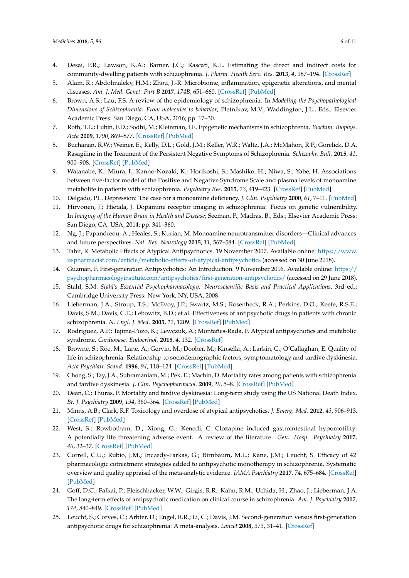- <span id="page-5-0"></span>4. Desai, P.R.; Lawson, K.A.; Barner, J.C.; Rascati, K.L. Estimating the direct and indirect costs for community-dwelling patients with schizophrenia. *J. Pharm. Health Serv. Res.* **2013**, *4*, 187–194. [\[CrossRef\]](http://dx.doi.org/10.1111/jphs.12027)
- <span id="page-5-1"></span>5. Alam, R.; Abdolmaleky, H.M.; Zhou, J.-R. Microbiome, inflammation, epigenetic alterations, and mental diseases. *Am. J. Med. Genet. Part B* **2017**, *174B*, 651–660. [\[CrossRef\]](http://dx.doi.org/10.1002/ajmg.b.32567) [\[PubMed\]](http://www.ncbi.nlm.nih.gov/pubmed/28691768)
- 6. Brown, A.S.; Lau, F.S. A review of the epidemiology of schizophrenia. In *Modeling the Psychopathological Dimensions of Schizophrenia: From molecules to behavior*; Pletnikov, M.V., Waddington, J.L., Eds.; Elsevier Academic Press: San Diego, CA, USA, 2016; pp. 17–30.
- <span id="page-5-2"></span>7. Roth, T.L.; Lubin, F.D.; Sodhi, M.; Kleinman, J.E. Epigenetic mechanisms in schizophrenia. *Biochim. Biophys. Acta* **2009**, *1790*, 869–877. [\[CrossRef\]](http://dx.doi.org/10.1016/j.bbagen.2009.06.009) [\[PubMed\]](http://www.ncbi.nlm.nih.gov/pubmed/19559755)
- <span id="page-5-3"></span>8. Buchanan, R.W.; Weiner, E.; Kelly, D.L.; Gold, J.M.; Keller, W.R.; Waltz, J.A.; McMahon, R.P.; Gorelick, D.A. Rasagiline in the Treatment of the Persistent Negative Symptoms of Schizophrenia. *Schizophr. Bull.* **2015**, *41*, 900–908. [\[CrossRef\]](http://dx.doi.org/10.1093/schbul/sbu151) [\[PubMed\]](http://www.ncbi.nlm.nih.gov/pubmed/25368372)
- <span id="page-5-4"></span>9. Watanabe, K.; Miura, I.; Kanno-Nozaki, K.; Horikoshi, S.; Mashiko, H.; Niwa, S.; Yabe, H. Associations between five-factor model of the Positive and Negative Syndrome Scale and plasma levels of monoamine metabolite in patients with schizophrenia. *Psychiatry Res.* **2015**, *23*, 419–423. [\[CrossRef\]](http://dx.doi.org/10.1016/j.psychres.2015.09.030) [\[PubMed\]](http://www.ncbi.nlm.nih.gov/pubmed/26416588)
- <span id="page-5-5"></span>10. Delgado, P.L. Depression: The case for a monoamine deficiency. *J. Clin. Psychiatry* **2000**, *61*, 7–11. [\[PubMed\]](http://www.ncbi.nlm.nih.gov/pubmed/10775018)
- 11. Hirvonen, J.; Hietala, J. Dopamine receptor imaging in schizophrenia: Focus on genetic vulnerability. In *Imaging of the Human Brain in Health and Disease*; Seeman, P., Madras, B., Eds.; Elsevier Academic Press: San Diego, CA, USA, 2014; pp. 341–360.
- <span id="page-5-6"></span>12. Ng, J.; Papandreou, A.; Heales, S.; Kurian, M. Monoamine neurotransmitter disorders—Clinical advances and future perspectives. *Nat. Rev. Neurology* **2015**, *11*, 567–584. [\[CrossRef\]](http://dx.doi.org/10.1038/nrneurol.2015.172) [\[PubMed\]](http://www.ncbi.nlm.nih.gov/pubmed/26392380)
- <span id="page-5-7"></span>13. Tahir, R. Metabolic Effects of Atypical Antipsychotics. 19 November 2007. Available online: [https://www.](https://www.uspharmacist.com/article/metabolic-effects-of-atypical-antipsychotics) [uspharmacist.com/article/metabolic-effects-of-atypical-antipsychotics](https://www.uspharmacist.com/article/metabolic-effects-of-atypical-antipsychotics) (accessed on 30 June 2018).
- <span id="page-5-8"></span>14. Guzmán, F. First-generation Antipsychotics: An Introduction. 9 November 2016. Available online: [https://](https://psychopharmacologyinstitute.com/antipsychotics/first-generation-antipsychotics/) [psychopharmacologyinstitute.com/antipsychotics/first-generation-antipsychotics/](https://psychopharmacologyinstitute.com/antipsychotics/first-generation-antipsychotics/) (accessed on 29 June 2018).
- <span id="page-5-9"></span>15. Stahl, S.M. *Stahl's Essential Psychopharmacology: Neuroscientific Basis and Practical Applications*, 3rd ed.; Cambridge University Press: New York, NY, USA, 2008.
- <span id="page-5-10"></span>16. Lieberman, J.A.; Stroup, T.S.; McEvoy, J.P.; Swartz, M.S.; Rosenheck, R.A.; Perkins, D.O.; Keefe, R.S.E.; Davis, S.M.; Davis, C.E.; Lebowitz, B.D.; et al. Effectiveness of antipsychotic drugs in patients with chronic schizophrenia. *N. Engl. J. Med.* **2005**, *12*, 1209. [\[CrossRef\]](http://dx.doi.org/10.1056/NEJMoa051688) [\[PubMed\]](http://www.ncbi.nlm.nih.gov/pubmed/16172203)
- <span id="page-5-11"></span>17. Rodriguez, A.P.; Tajima-Pozo, K.; Lewczuk, A.; Montañes-Rada, F. Atypical antipsychotics and metabolic syndrome. *Cardiovasc. Endocrinol.* **2015**, *4*, 132. [\[CrossRef\]](http://dx.doi.org/10.1097/XCE.0000000000000063)
- <span id="page-5-12"></span>18. Browne, S.; Roe, M.; Lane, A.; Gervin, M.; Dooher, M.; Kinsella, A.; Larkin, C.; O'Callaghan, E. Quality of life in schizophrenia: Relationship to sociodemographic factors, symptomatology and tardive dyskinesia. *Acta Psychiatr. Scand.* **1996**, *94*, 118–124. [\[CrossRef\]](http://dx.doi.org/10.1111/j.1600-0447.1996.tb09835.x) [\[PubMed\]](http://www.ncbi.nlm.nih.gov/pubmed/8883573)
- 19. Chong, S.; Tay, J.A.; Subramaniam, M.; Pek, E.; Machin, D. Mortality rates among patients with schizophrenia and tardive dyskinesia. *J. Clin. Psychopharmacol.* **2009**, *29*, 5–8. [\[CrossRef\]](http://dx.doi.org/10.1097/JCP.0b013e3181929f94) [\[PubMed\]](http://www.ncbi.nlm.nih.gov/pubmed/19142099)
- 20. Dean, C.; Thuras, P. Mortality and tardive dyskinesia: Long-term study using the US National Death Index. *Br. J. Psychiatry* **2009**, *194*, 360–364. [\[CrossRef\]](http://dx.doi.org/10.1192/bjp.bp.108.049395) [\[PubMed\]](http://www.ncbi.nlm.nih.gov/pubmed/19336789)
- 21. Minns, A.B.; Clark, R.F. Toxicology and overdose of atypical antipsychotics. *J. Emerg. Med.* **2012**, *43*, 906–913. [\[CrossRef\]](http://dx.doi.org/10.1016/j.jemermed.2012.03.002) [\[PubMed\]](http://www.ncbi.nlm.nih.gov/pubmed/22555052)
- <span id="page-5-13"></span>22. West, S.; Rowbotham, D.; Xiong, G.; Kenedi, C. Clozapine induced gastrointestinal hypomotility: A potentially life threatening adverse event. A review of the literature. *Gen. Hosp. Psychiatry* **2017**, *46*, 32–37. [\[CrossRef\]](http://dx.doi.org/10.1016/j.genhosppsych.2017.02.004) [\[PubMed\]](http://www.ncbi.nlm.nih.gov/pubmed/28622812)
- <span id="page-5-14"></span>23. Correll, C.U.; Rubio, J.M.; Inczedy-Farkas, G.; Birnbaum, M.L.; Kane, J.M.; Leucht, S. Efficacy of 42 pharmacologic cotreatment strategies added to antipsychotic monotherapy in schizophrenia. Systematic overview and quality appraisal of the meta-analytic evidence. *JAMA Psychiatry* **2017**, *74*, 675–684. [\[CrossRef\]](http://dx.doi.org/10.1001/jamapsychiatry.2017.0624) [\[PubMed\]](http://www.ncbi.nlm.nih.gov/pubmed/28514486)
- 24. Goff, D.C.; Falkai, P.; Fleischhacker, W.W.; Girgis, R.R.; Kahn, R.M.; Uchida, H.; Zhao, J.; Lieberman, J.A. The long-term effects of antipsychotic medication on clinical course in schizophrenia. *Am. J. Psychiatry* **2017**, *174*, 840–849. [\[CrossRef\]](http://dx.doi.org/10.1176/appi.ajp.2017.16091016) [\[PubMed\]](http://www.ncbi.nlm.nih.gov/pubmed/28472900)
- <span id="page-5-15"></span>25. Leucht, S.; Corves, C.; Arbter, D.; Engel, R.R.; Li, C.; Davis, J.M. Second-generation versus first-generation antipsychotic drugs for schizophrenia: A meta-analysis. *Lancet* **2008**, *373*, 31–41. [\[CrossRef\]](http://dx.doi.org/10.1016/S0140-6736(08)61764-X)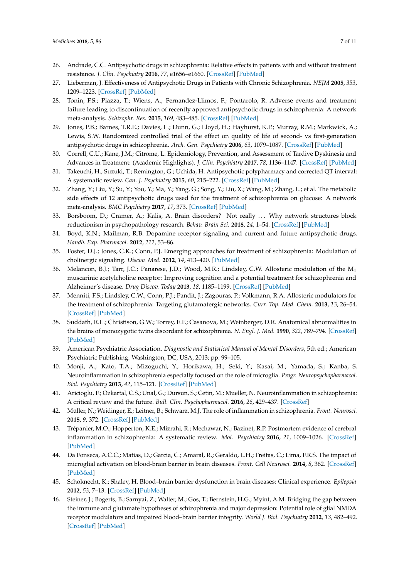- <span id="page-6-0"></span>26. Andrade, C.C. Antipsychotic drugs in schizophrenia: Relative effects in patients with and without treatment resistance. *J. Clin. Psychiatry* **2016**, *77*, e1656–e1660. [\[CrossRef\]](http://dx.doi.org/10.4088/JCP.16f11328) [\[PubMed\]](http://www.ncbi.nlm.nih.gov/pubmed/28086018)
- 27. Lieberman, J. Effectiveness of Antipsychotic Drugs in Patients with Chronic Schizophrenia. *NEJM* **2005**, *353*, 1209–1223. [\[CrossRef\]](http://dx.doi.org/10.1056/NEJMoa051688) [\[PubMed\]](http://www.ncbi.nlm.nih.gov/pubmed/16172203)
- <span id="page-6-1"></span>28. Tonin, F.S.; Piazza, T.; Wiens, A.; Fernandez-Llimos, F.; Pontarolo, R. Adverse events and treatment failure leading to discontinuation of recently approved antipsychotic drugs in schizophrenia: A network meta-analysis. *Schizophr. Res.* **2015**, *169*, 483–485. [\[CrossRef\]](http://dx.doi.org/10.1016/j.schres.2015.09.019) [\[PubMed\]](http://www.ncbi.nlm.nih.gov/pubmed/26516102)
- <span id="page-6-2"></span>29. Jones, P.B.; Barnes, T.R.E.; Davies, L.; Dunn, G.; Lloyd, H.; Hayhurst, K.P.; Murray, R.M.; Markwick, A.; Lewis, S.W. Randomized controlled trial of the effect on quality of life of second- vs first-generation antipsychotic drugs in schizophrenia. *Arch. Gen. Psychiatry* **2006**, *63*, 1079–1087. [\[CrossRef\]](http://dx.doi.org/10.1001/archpsyc.63.10.1079) [\[PubMed\]](http://www.ncbi.nlm.nih.gov/pubmed/17015810)
- <span id="page-6-3"></span>30. Correll, C.U.; Kane, J.M.; Citrome, L. Epidemiology, Prevention, and Assessment of Tardive Dyskinesia and Advances in Treatment: (Academic Highlights). *J. Clin. Psychiatry* **2017**, *78*, 1136–1147. [\[CrossRef\]](http://dx.doi.org/10.4088/JCP.tv17016ah4c) [\[PubMed\]](http://www.ncbi.nlm.nih.gov/pubmed/29022654)
- 31. Takeuchi, H.; Suzuki, T.; Remington, G.; Uchida, H. Antipsychotic polypharmacy and corrected QT interval: A systematic review. *Can. J. Psychiatry* **2015**, *60*, 215–222. [\[CrossRef\]](http://dx.doi.org/10.1177/070674371506000503) [\[PubMed\]](http://www.ncbi.nlm.nih.gov/pubmed/26174525)
- <span id="page-6-4"></span>32. Zhang, Y.; Liu, Y.; Su, Y.; You, Y.; Ma, Y.; Yang, G.; Song, Y.; Liu, X.; Wang, M.; Zhang, L.; et al. The metabolic side effects of 12 antipsychotic drugs used for the treatment of schizophrenia on glucose: A network meta-analysis. *BMC Psychiatry* **2017**, *17*, 373. [\[CrossRef\]](http://dx.doi.org/10.1186/s12888-017-1539-0) [\[PubMed\]](http://www.ncbi.nlm.nih.gov/pubmed/29162032)
- <span id="page-6-5"></span>33. Borsboom, D.; Cramer, A.; Kalis, A. Brain disorders? Not really . . . Why network structures block reductionism in psychopathology research. *Behav. Brain Sci.* **2018**, *24*, 1–54. [\[CrossRef\]](http://dx.doi.org/10.1017/S0140525X17002266) [\[PubMed\]](http://www.ncbi.nlm.nih.gov/pubmed/29361992)
- <span id="page-6-6"></span>34. Boyd, K.N.; Mailman, R.B. Dopamine receptor signaling and current and future antipsychotic drugs. *Handb. Exp. Pharmacol.* **2012**, *212*, 53–86.
- 35. Foster, D.J.; Jones, C.K.; Conn, P.J. Emerging approaches for treatment of schizophrenia: Modulation of cholinergic signaling. *Discov. Med.* **2012**, *14*, 413–420. [\[PubMed\]](http://www.ncbi.nlm.nih.gov/pubmed/23272693)
- 36. Melancon, B.J.; Tarr, J.C.; Panarese, J.D.; Wood, M.R.; Lindsley, C.W. Allosteric modulation of the M<sup>1</sup> muscarinic acetylcholine receptor: Improving cognition and a potential treatment for schizophrenia and Alzheimer's disease. *Drug Discov. Today* **2013**, *18*, 1185–1199. [\[CrossRef\]](http://dx.doi.org/10.1016/j.drudis.2013.09.005) [\[PubMed\]](http://www.ncbi.nlm.nih.gov/pubmed/24051397)
- <span id="page-6-7"></span>37. Menniti, F.S.; Lindsley, C.W.; Conn, P.J.; Pandit, J.; Zagouras, P.; Volkmann, R.A. Allosteric modulators for the treatment of schizophrenia: Targeting glutamatergic networks. *Curr. Top. Med. Chem.* **2013**, *13*, 26–54. [\[CrossRef\]](http://dx.doi.org/10.2174/1568026611313010005) [\[PubMed\]](http://www.ncbi.nlm.nih.gov/pubmed/23409764)
- <span id="page-6-8"></span>38. Suddath, R.L.; Christison, G.W.; Torrey, E.F.; Casanova, M.; Weinberger, D.R. Anatomical abnormalities in the brains of monozygotic twins discordant for schizophrenia. *N. Engl. J. Med.* **1990**, *322*, 789–794. [\[CrossRef\]](http://dx.doi.org/10.1056/NEJM199003223221201) [\[PubMed\]](http://www.ncbi.nlm.nih.gov/pubmed/2308615)
- <span id="page-6-9"></span>39. American Psychiatric Association. *Diagnostic and Statistical Manual of Mental Disorders*, 5th ed.; American Psychiatric Publishing: Washington, DC, USA, 2013; pp. 99–105.
- <span id="page-6-10"></span>40. Monji, A.; Kato, T.A.; Mizoguchi, Y.; Horikawa, H.; Seki, Y.; Kasai, M.; Yamada, S.; Kanba, S. Neuroinflammation in schizophrenia especially focused on the role of microglia. *Progr. Neuropsychopharmacol. Biol. Psychiatry* **2013**, *42*, 115–121. [\[CrossRef\]](http://dx.doi.org/10.1016/j.pnpbp.2011.12.002) [\[PubMed\]](http://www.ncbi.nlm.nih.gov/pubmed/22192886)
- 41. Aricioglu, F.; Ozkartal, C.S.; Unal, G.; Dursun, S.; Cetin, M.; Mueller, N. Neuroinflammation in schizophrenia: A critical review and the future. *Bull. Clin. Psychopharmacol.* **2016**, *26*, 429–437. [\[CrossRef\]](http://dx.doi.org/10.5455/bcp.20161123044657)
- 42. Müller, N.; Weidinger, E.; Leitner, B.; Schwarz, M.J. The role of inflammation in schizophrenia. *Front. Neurosci.* **2015**, *9*, 372. [\[CrossRef\]](http://dx.doi.org/10.3389/fnins.2015.00372) [\[PubMed\]](http://www.ncbi.nlm.nih.gov/pubmed/26539073)
- <span id="page-6-11"></span>43. Trépanier, M.O.; Hopperton, K.E.; Mizrahi, R.; Mechawar, N.; Bazinet, R.P. Postmortem evidence of cerebral inflammation in schizophrenia: A systematic review. *Mol. Psychiatry* **2016**, *21*, 1009–1026. [\[CrossRef\]](http://dx.doi.org/10.1038/mp.2016.90) [\[PubMed\]](http://www.ncbi.nlm.nih.gov/pubmed/27271499)
- <span id="page-6-12"></span>44. Da Fonseca, A.C.C.; Matias, D.; Garcia, C.; Amaral, R.; Geraldo, L.H.; Freitas, C.; Lima, F.R.S. The impact of microglial activation on blood-brain barrier in brain diseases. *Front. Cell Neurosci.* **2014**, *8*, 362. [\[CrossRef\]](http://dx.doi.org/10.3389/fncel.2014.00362) [\[PubMed\]](http://www.ncbi.nlm.nih.gov/pubmed/25404894)
- <span id="page-6-13"></span>45. Schoknecht, K.; Shalev, H. Blood–brain barrier dysfunction in brain diseases: Clinical experience. *Epilepsia* **2012**, *53*, 7–13. [\[CrossRef\]](http://dx.doi.org/10.1111/j.1528-1167.2012.03697.x) [\[PubMed\]](http://www.ncbi.nlm.nih.gov/pubmed/23134490)
- 46. Steiner, J.; Bogerts, B.; Sarnyai, Z.; Walter, M.; Gos, T.; Bernstein, H.G.; Myint, A.M. Bridging the gap between the immune and glutamate hypotheses of schizophrenia and major depression: Potential role of glial NMDA receptor modulators and impaired blood–brain barrier integrity. *World J. Biol. Psychiatry* **2012**, *13*, 482–492. [\[CrossRef\]](http://dx.doi.org/10.3109/15622975.2011.583941) [\[PubMed\]](http://www.ncbi.nlm.nih.gov/pubmed/21707463)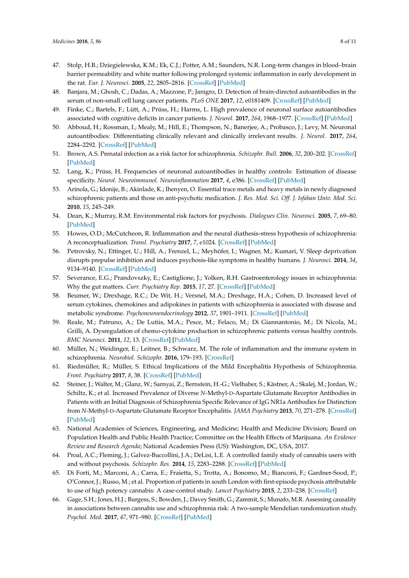- <span id="page-7-0"></span>47. Stolp, H.B.; Dziegielewska, K.M.; Ek, C.J.; Potter, A.M.; Saunders, N.R. Long-term changes in blood–brain barrier permeability and white matter following prolonged systemic inflammation in early development in the rat. *Eur. J. Neurosci.* **2005**, *22*, 2805–2816. [\[CrossRef\]](http://dx.doi.org/10.1111/j.1460-9568.2005.04483.x) [\[PubMed\]](http://www.ncbi.nlm.nih.gov/pubmed/16324115)
- <span id="page-7-1"></span>48. Banjara, M.; Ghosh, C.; Dadas, A.; Mazzone, P.; Janigro, D. Detection of brain-directed autoantibodies in the serum of non-small cell lung cancer patients. *PLoS ONE* **2017**, *12*, e0181409. [\[CrossRef\]](http://dx.doi.org/10.1371/journal.pone.0181409) [\[PubMed\]](http://www.ncbi.nlm.nih.gov/pubmed/28746384)
- <span id="page-7-2"></span>49. Finke, C.; Bartels, F.; Lütt, A.; Prüss, H.; Harms, L. High prevalence of neuronal surface autoantibodies associated with cognitive deficits in cancer patients. *J. Neurol.* **2017**, *264*, 1968–1977. [\[CrossRef\]](http://dx.doi.org/10.1007/s00415-017-8582-0) [\[PubMed\]](http://www.ncbi.nlm.nih.gov/pubmed/28785798)
- <span id="page-7-3"></span>50. Abboud, H.; Rossman, I.; Mealy, M.; Hill, E.; Thompson, N.; Banerjee, A.; Probasco, J.; Levy, M. Neuronal autoantibodies: Differentiating clinically relevant and clinically irrelevant results. *J. Neurol.* **2017**, *264*, 2284–2292. [\[CrossRef\]](http://dx.doi.org/10.1007/s00415-017-8627-4) [\[PubMed\]](http://www.ncbi.nlm.nih.gov/pubmed/28975404)
- 51. Brown, A.S. Prenatal infection as a risk factor for schizophrenia. *Schizophr. Bull.* **2006**, *32*, 200–202. [\[CrossRef\]](http://dx.doi.org/10.1093/schbul/sbj052) [\[PubMed\]](http://www.ncbi.nlm.nih.gov/pubmed/16469941)
- <span id="page-7-4"></span>52. Lang, K.; Prüss, H. Frequencies of neuronal autoantibodies in healthy controls: Estimation of disease specificity. *Neurol. Neuroimmunol. Neuroinflammation* **2017**, *4*, e386. [\[CrossRef\]](http://dx.doi.org/10.1212/NXI.0000000000000386) [\[PubMed\]](http://www.ncbi.nlm.nih.gov/pubmed/28761905)
- <span id="page-7-5"></span>53. Arinola, G.; Idonije, B.; Akinlade, K.; Ihenyen, O. Essential trace metals and heavy metals in newly diagnosed schizophrenic patients and those on anti-psychotic medication. *J. Res. Med. Sci. Off. J. Isfahan Univ. Med. Sci.* **2010**, *15*, 245–249.
- 54. Dean, K.; Murray, R.M. Environmental risk factors for psychosis. *Dialogues Clin. Neurosci.* **2005**, *7*, 69–80. [\[PubMed\]](http://www.ncbi.nlm.nih.gov/pubmed/16060597)
- 55. Howes, O.D.; McCutcheon, R. Inflammation and the neural diathesis-stress hypothesis of schizophrenia: A reconceptualization. *Transl. Psychiatry* **2017**, *7*, e1024. [\[CrossRef\]](http://dx.doi.org/10.1038/tp.2016.278) [\[PubMed\]](http://www.ncbi.nlm.nih.gov/pubmed/28170004)
- 56. Petrovsky, N.; Ettinger, U.; Hill, A.; Frenzel, L.; Meyhöfer, I.; Wagner, M.; Kumari, V. Sleep deprivation disrupts prepulse inhibition and induces psychosis-like symptoms in healthy humans. *J. Neurosci.* **2014**, *34*, 9134–9140. [\[CrossRef\]](http://dx.doi.org/10.1523/JNEUROSCI.0904-14.2014) [\[PubMed\]](http://www.ncbi.nlm.nih.gov/pubmed/24990933)
- <span id="page-7-6"></span>57. Severance, E.G.; Prandovszky, E.; Castiglione, J.; Yolken, R.H. Gastroenterology issues in schizophrenia: Why the gut matters. *Curr. Psychiatry Rep.* **2015**, *17*, 27. [\[CrossRef\]](http://dx.doi.org/10.1007/s11920-015-0574-0) [\[PubMed\]](http://www.ncbi.nlm.nih.gov/pubmed/25773227)
- <span id="page-7-7"></span>58. Beumer, W.; Drexhage, R.C.; De Wit, H.; Versnel, M.A.; Drexhage, H.A.; Cohen, D. Increased level of serum cytokines, chemokines and adipokines in patients with schizophrenia is associated with disease and metabolic syndrome. *Psychoneuroendocrinology* **2012**, *37*, 1901–1911. [\[CrossRef\]](http://dx.doi.org/10.1016/j.psyneuen.2012.04.001) [\[PubMed\]](http://www.ncbi.nlm.nih.gov/pubmed/22541717)
- <span id="page-7-8"></span>59. Reale, M.; Patruno, A.; De Lutiis, M.A.; Pesce, M.; Felaco, M.; Di Giannantonio, M.; Di Nicola, M.; Grilli, A. Dysregulation of chemo-cytokine production in schizophrenic patients versus healthy controls. *BMC Neurosci.* **2011**, *12*, 13. [\[CrossRef\]](http://dx.doi.org/10.1186/1471-2202-12-13) [\[PubMed\]](http://www.ncbi.nlm.nih.gov/pubmed/21266029)
- <span id="page-7-9"></span>60. Müller, N.; Weidinger, E.; Leitner, B.; Schwarz, M. The role of inflammation and the immune system in schizophrenia. *Neurobiol. Schizophr.* **2016**, 179–193. [\[CrossRef\]](http://dx.doi.org/10.1016/B978-0-12-801829-3.00019-7)
- <span id="page-7-10"></span>61. Riedmüller, R.; Müller, S. Ethical Implications of the Mild Encephalitis Hypothesis of Schizophrenia. *Front. Psychiatry* **2017**, *8*, 38. [\[CrossRef\]](http://dx.doi.org/10.3389/fpsyt.2017.00038) [\[PubMed\]](http://www.ncbi.nlm.nih.gov/pubmed/28348532)
- <span id="page-7-11"></span>62. Steiner, J.; Walter, M.; Glanz, W.; Sarnyai, Z.; Bernstein, H.-G.; Vielhaber, S.; Kästner, A.; Skalej, M.; Jordan, W.; Schiltz, K.; et al. Increased Prevalence of Diverse *N*-Methyl-D-Aspartate Glutamate Receptor Antibodies in Patients with an Initial Diagnosis of Schizophrenia Specific Relevance of IgG NR1a Antibodies for Distinction from *N*-Methyl-D-Aspartate Glutamate Receptor Encephalitis. *JAMA Psychiatry* **2013**, *70*, 271–278. [\[CrossRef\]](http://dx.doi.org/10.1001/2013.jamapsychiatry.86) [\[PubMed\]](http://www.ncbi.nlm.nih.gov/pubmed/23344076)
- <span id="page-7-12"></span>63. National Academies of Sciences, Engineering, and Medicine; Health and Medicine Division; Board on Population Health and Public Health Practice; Committee on the Health Effects of Marijuana. *An Evidence Review and Research Agenda*; National Academies Press (US): Washington, DC, USA, 2017.
- <span id="page-7-13"></span>64. Proal, A.C.; Fleming, J.; Galvez-Buccollini, J.A.; DeLisi, L.E. A controlled family study of cannabis users with and without psychosis. *Schizophr. Res.* **2014**, *15*, 2283–2288. [\[CrossRef\]](http://dx.doi.org/10.1016/j.schres.2013.11.014) [\[PubMed\]](http://www.ncbi.nlm.nih.gov/pubmed/24309013)
- <span id="page-7-14"></span>65. Di Forti, M.; Marconi, A.; Carra, E.; Fraietta, S.; Trotta, A.; Bonomo, M.; Bianconi, F.; Gardner-Sood, P.; O'Connor, J.; Russo, M.; et al. Proportion of patients in south London with first-episode psychosis attributable to use of high potency cannabis: A case-control study. *Lancet Psychiatry* **2015**, *2*, 233–238. [\[CrossRef\]](http://dx.doi.org/10.1016/S2215-0366(14)00117-5)
- <span id="page-7-15"></span>66. Gage, S.H.; Jones, H.J.; Burgess, S.; Bowden, J.; Davey Smith, G.; Zammit, S.; Munafo, M.R. Assessing causality in associations between cannabis use and schizophrenia risk: A two-sample Mendelian randomization study. *Psychol. Med.* **2017**, *47*, 971–980. [\[CrossRef\]](http://dx.doi.org/10.1017/S0033291716003172) [\[PubMed\]](http://www.ncbi.nlm.nih.gov/pubmed/27928975)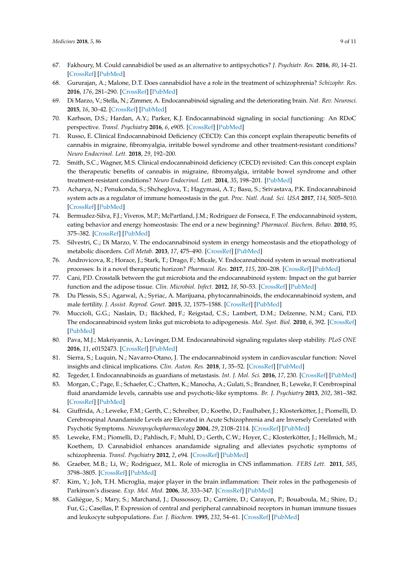- <span id="page-8-0"></span>67. Fakhoury, M. Could cannabidiol be used as an alternative to antipsychotics? *J. Psychiatr. Res.* **2016**, *80*, 14–21. [\[CrossRef\]](http://dx.doi.org/10.1016/j.jpsychires.2016.05.013) [\[PubMed\]](http://www.ncbi.nlm.nih.gov/pubmed/27267317)
- <span id="page-8-1"></span>68. Gururajan, A.; Malone, D.T. Does cannabidiol have a role in the treatment of schizophrenia? *Schizophr. Res.* **2016**, *176*, 281–290. [\[CrossRef\]](http://dx.doi.org/10.1016/j.schres.2016.06.022) [\[PubMed\]](http://www.ncbi.nlm.nih.gov/pubmed/27374322)
- <span id="page-8-2"></span>69. Di Marzo, V.; Stella, N.; Zimmer, A. Endocannabinoid signaling and the deteriorating brain. *Nat. Rev. Neurosci.* **2015**, *16*, 30–42. [\[CrossRef\]](http://dx.doi.org/10.1038/nrn3876) [\[PubMed\]](http://www.ncbi.nlm.nih.gov/pubmed/25524120)
- <span id="page-8-6"></span>70. Karhson, D.S.; Hardan, A.Y.; Parker, K.J. Endocannabinoid signaling in social functioning: An RDoC perspective. *Transl. Psychiatry* **2016**, *6*, e905. [\[CrossRef\]](http://dx.doi.org/10.1038/tp.2016.169) [\[PubMed\]](http://www.ncbi.nlm.nih.gov/pubmed/27676446)
- 71. Russo, E. Clinical Endocannabinoid Deficiency (CECD): Can this concept explain therapeutic benefits of cannabis in migraine, fibromyalgia, irritable bowel syndrome and other treatment-resistant conditions? *Neuro Endocrinol. Lett.* **2018**, *29*, 192–200.
- <span id="page-8-3"></span>72. Smith, S.C.; Wagner, M.S. Clinical endocannabinoid deficiency (CECD) revisited: Can this concept explain the therapeutic benefits of cannabis in migraine, fibromyalgia, irritable bowel syndrome and other treatment-resistant conditions? *Neuro Endocrinol. Lett.* **2014**, *35*, 198–201. [\[PubMed\]](http://www.ncbi.nlm.nih.gov/pubmed/24977967)
- <span id="page-8-4"></span>73. Acharya, N.; Penukonda, S.; Shcheglova, T.; Hagymasi, A.T.; Basu, S.; Srivastava, P.K. Endocannabinoid system acts as a regulator of immune homeostasis in the gut. *Proc. Natl. Acad. Sci. USA* **2017**, *114*, 5005–5010. [\[CrossRef\]](http://dx.doi.org/10.1073/pnas.1612177114) [\[PubMed\]](http://www.ncbi.nlm.nih.gov/pubmed/28439004)
- 74. Bermudez-Silva, F.J.; Viveros, M.P.; McPartland, J.M.; Rodriguez de Fonseca, F. The endocannabinoid system, eating behavior and energy homeostasis: The end or a new beginning? *Pharmacol. Biochem. Behav.* **2010**, *95*, 375–382. [\[CrossRef\]](http://dx.doi.org/10.1016/j.pbb.2010.03.012) [\[PubMed\]](http://www.ncbi.nlm.nih.gov/pubmed/20347862)
- <span id="page-8-5"></span>75. Silvestri, C.; Di Marzo, V. The endocannabinoid system in energy homeostasis and the etiopathology of metabolic disorders. *Cell Metab.* **2013**, *17*, 475–490. [\[CrossRef\]](http://dx.doi.org/10.1016/j.cmet.2013.03.001) [\[PubMed\]](http://www.ncbi.nlm.nih.gov/pubmed/23562074)
- <span id="page-8-7"></span>76. Androvicova, R.; Horace, J.; Stark, T.; Drago, F.; Micale, V. Endocannabinoid system in sexual motivational processes: Is it a novel therapeutic horizon? *Pharmacol. Res.* **2017**, *115*, 200–208. [\[CrossRef\]](http://dx.doi.org/10.1016/j.phrs.2016.11.021) [\[PubMed\]](http://www.ncbi.nlm.nih.gov/pubmed/27884725)
- 77. Cani, P.D. Crosstalk between the gut microbiota and the endocannabinoid system: Impact on the gut barrier function and the adipose tissue. *Clin. Microbiol. Infect.* **2012**, *18*, 50–53. [\[CrossRef\]](http://dx.doi.org/10.1111/j.1469-0691.2012.03866.x) [\[PubMed\]](http://www.ncbi.nlm.nih.gov/pubmed/22647050)
- 78. Du Plessis, S.S.; Agarwal, A.; Syriac, A. Marijuana, phytocannabinoids, the endocannabinoid system, and male fertility. *J. Assist. Reprod. Genet.* **2015**, *32*, 1575–1588. [\[CrossRef\]](http://dx.doi.org/10.1007/s10815-015-0553-8) [\[PubMed\]](http://www.ncbi.nlm.nih.gov/pubmed/26277482)
- 79. Muccioli, G.G.; Naslain, D.; Bäckhed, F.; Reigstad, C.S.; Lambert, D.M.; Delzenne, N.M.; Cani, P.D. The endocannabinoid system links gut microbiota to adipogenesis. *Mol. Syst. Biol.* **2010**, *6*, 392. [\[CrossRef\]](http://dx.doi.org/10.1038/msb.2010.46) [\[PubMed\]](http://www.ncbi.nlm.nih.gov/pubmed/20664638)
- 80. Pava, M.J.; Makriyannis, A.; Lovinger, D.M. Endocannabinoid signaling regulates sleep stability. *PLoS ONE* **2016**, *11*, e0152473. [\[CrossRef\]](http://dx.doi.org/10.1371/journal.pone.0152473) [\[PubMed\]](http://www.ncbi.nlm.nih.gov/pubmed/27031992)
- 81. Sierra, S.; Luquin, N.; Navarro-Otano, J. The endocannabinoid system in cardiovascular function: Novel insights and clinical implications. *Clin. Auton. Res.* **2018**, *1*, 35–52. [\[CrossRef\]](http://dx.doi.org/10.1007/s10286-017-0488-5) [\[PubMed\]](http://www.ncbi.nlm.nih.gov/pubmed/29222605)
- <span id="page-8-8"></span>82. Tegeder, I. Endocannabinoids as guardians of metastasis. *Int. J. Mol. Sci.* **2016**, *17*, 230. [\[CrossRef\]](http://dx.doi.org/10.3390/ijms17020230) [\[PubMed\]](http://www.ncbi.nlm.nih.gov/pubmed/26875980)
- <span id="page-8-9"></span>83. Morgan, C.; Page, E.; Schaefer, C.; Chatten, K.; Manocha, A.; Gulati, S.; Brandner, B.; Leweke, F. Cerebrospinal fluid anandamide levels, cannabis use and psychotic-like symptoms. *Br. J. Psychiatry* **2013**, *202*, 381–382. [\[CrossRef\]](http://dx.doi.org/10.1192/bjp.bp.112.121178) [\[PubMed\]](http://www.ncbi.nlm.nih.gov/pubmed/23580381)
- <span id="page-8-10"></span>84. Giuffrida, A.; Leweke, F.M.; Gerth, C.; Schreiber, D.; Koethe, D.; Faulhaber, J.; Klosterkötter, J.; Piomelli, D. Cerebrospinal Anandamide Levels are Elevated in Acute Schizophrenia and are Inversely Correlated with Psychotic Symptoms. *Neuropsychopharmacology* **2004**, *29*, 2108–2114. [\[CrossRef\]](http://dx.doi.org/10.1038/sj.npp.1300558) [\[PubMed\]](http://www.ncbi.nlm.nih.gov/pubmed/15354183)
- <span id="page-8-11"></span>85. Leweke, F.M.; Piomelli, D.; Pahlisch, F.; Muhl, D.; Gerth, C.W.; Hoyer, C.; Klosterkötter, J.; Hellmich, M.; Koethem, D. Cannabidiol enhances anandamide signaling and alleviates psychotic symptoms of schizophrenia. *Transl. Psychiatry* **2012**, *2*, e94. [\[CrossRef\]](http://dx.doi.org/10.1038/tp.2012.15) [\[PubMed\]](http://www.ncbi.nlm.nih.gov/pubmed/22832859)
- <span id="page-8-12"></span>86. Graeber, M.B.; Li, W.; Rodriguez, M.L. Role of microglia in CNS inflammation. *FEBS Lett.* **2011**, *585*, 3798–3805. [\[CrossRef\]](http://dx.doi.org/10.1016/j.febslet.2011.08.033) [\[PubMed\]](http://www.ncbi.nlm.nih.gov/pubmed/21889505)
- <span id="page-8-13"></span>87. Kim, Y.; Joh, T.H. Microglia, major player in the brain inflammation: Their roles in the pathogenesis of Parkinson's disease. *Exp. Mol. Med.* **2006**, *38*, 333–347. [\[CrossRef\]](http://dx.doi.org/10.1038/emm.2006.40) [\[PubMed\]](http://www.ncbi.nlm.nih.gov/pubmed/16953112)
- <span id="page-8-14"></span>88. Galiègue, S.; Mary, S.; Marchand, J.; Dussossoy, D.; Carrière, D.; Carayon, P.; Bouaboula, M.; Shire, D.; Fur, G.; Casellas, P. Expression of central and peripheral cannabinoid receptors in human immune tissues and leukocyte subpopulations. *Eur. J. Biochem.* **1995**, *232*, 54–61. [\[CrossRef\]](http://dx.doi.org/10.1111/j.1432-1033.1995.tb20780.x) [\[PubMed\]](http://www.ncbi.nlm.nih.gov/pubmed/7556170)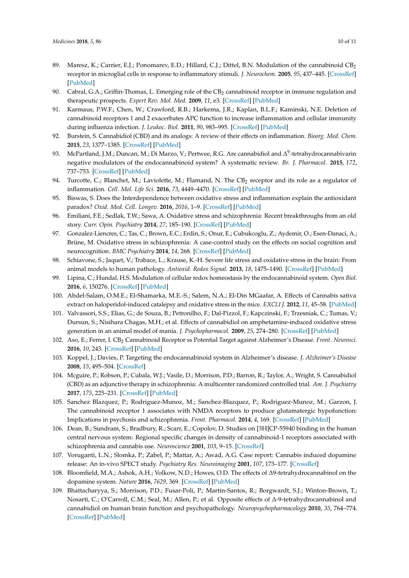- <span id="page-9-0"></span>89. Maresz, K.; Carrier, E.J.; Ponomarev, E.D.; Hillard, C.J.; Dittel, B.N. Modulation of the cannabinoid CB<sub>2</sub> receptor in microglial cells in response to inflammatory stimuli. *J. Neurochem.* **2005**, *95*, 437–445. [\[CrossRef\]](http://dx.doi.org/10.1111/j.1471-4159.2005.03380.x) [\[PubMed\]](http://www.ncbi.nlm.nih.gov/pubmed/16086683)
- <span id="page-9-1"></span>90. Cabral, G.A.; Griffin-Thomas, L. Emerging role of the CB<sub>2</sub> cannabinoid receptor in immune regulation and therapeutic prospects. *Expert Rev. Mol. Med.* **2009**, *11*, e3. [\[CrossRef\]](http://dx.doi.org/10.1017/S1462399409000957) [\[PubMed\]](http://www.ncbi.nlm.nih.gov/pubmed/19152719)
- <span id="page-9-2"></span>91. Karmaus, P.W.F.; Chen, W.; Crawford, R.B.; Harkema, J.R.; Kaplan, B.L.F.; Kaminski, N.E. Deletion of cannabinoid receptors 1 and 2 exacerbates APC function to increase inflammation and cellular immunity during influenza infection. *J. Leukoc. Biol.* **2011**, *90*, 983–995. [\[CrossRef\]](http://dx.doi.org/10.1189/jlb.0511219) [\[PubMed\]](http://www.ncbi.nlm.nih.gov/pubmed/21873455)
- <span id="page-9-3"></span>92. Burstein, S. Cannabidiol (CBD) and its analogs: A review of their effects on inflammation. *Bioorg. Med. Chem.* **2015**, *23*, 1377–1385. [\[CrossRef\]](http://dx.doi.org/10.1016/j.bmc.2015.01.059) [\[PubMed\]](http://www.ncbi.nlm.nih.gov/pubmed/25703248)
- <span id="page-9-19"></span>93. McPartland, J.M.; Duncan, M.; Di Marzo, V.; Pertwee, R.G. Are cannabidiol and  $\Delta^9$ -tetrahydrocannabivarin negative modulators of the endocannabinoid system? A systematic review. *Br. J. Pharmacol.* **2015**, *172*, 737–753. [\[CrossRef\]](http://dx.doi.org/10.1111/bph.12944) [\[PubMed\]](http://www.ncbi.nlm.nih.gov/pubmed/25257544)
- <span id="page-9-4"></span>94. Turcotte, C.; Blanchet, M.; Laviolette, M.; Flamand, N. The CB<sub>2</sub> receptor and its role as a regulator of inflammation. *Cell. Mol. Life Sci.* **2016**, *73*, 4449–4470. [\[CrossRef\]](http://dx.doi.org/10.1007/s00018-016-2300-4) [\[PubMed\]](http://www.ncbi.nlm.nih.gov/pubmed/27402121)
- <span id="page-9-5"></span>95. Biswas, S. Does the Interdependence between oxidative stress and inflammation explain the antioxidant paradox? *Oxid. Med. Cell. Longev.* **2016**, *2016*, 1–9. [\[CrossRef\]](http://dx.doi.org/10.1155/2016/5698931) [\[PubMed\]](http://www.ncbi.nlm.nih.gov/pubmed/26881031)
- <span id="page-9-6"></span>96. Emiliani, F.E.; Sedlak, T.W.; Sawa, A. Oxidative stress and schizophrenia: Recent breakthroughs from an old story. *Curr. Opin. Psychiatry* **2014**, *27*, 185–190. [\[CrossRef\]](http://dx.doi.org/10.1097/YCO.0000000000000054) [\[PubMed\]](http://www.ncbi.nlm.nih.gov/pubmed/24613987)
- 97. Gonzalez-Liencres, C.; Tas, C.; Brown, E.C.; Erdin, S.; Onur, E.; Cubukcoglu, Z.; Aydemir, O.; Esen-Danaci, A.; Brüne, M. Oxidative stress in schizophrenia: A case-control study on the effects on social cognition and neurocognition. *BMC Psychiatry* **2014**, *14*, 268. [\[CrossRef\]](http://dx.doi.org/10.1186/s12888-014-0268-x) [\[PubMed\]](http://www.ncbi.nlm.nih.gov/pubmed/25248376)
- <span id="page-9-7"></span>98. Schiavone, S.; Jaquet, V.; Trabace, L.; Krause, K.-H. Severe life stress and oxidative stress in the brain: From animal models to human pathology. *Antioxid. Redox Signal.* **2013**, *18*, 1475–1490. [\[CrossRef\]](http://dx.doi.org/10.1089/ars.2012.4720) [\[PubMed\]](http://www.ncbi.nlm.nih.gov/pubmed/22746161)
- <span id="page-9-8"></span>99. Lipina, C.; Hundal, H.S. Modulation of cellular redox homeostasis by the endocannabinoid system. *Open Biol.* **2016**, *6*, 150276. [\[CrossRef\]](http://dx.doi.org/10.1098/rsob.150276) [\[PubMed\]](http://www.ncbi.nlm.nih.gov/pubmed/27248801)
- <span id="page-9-9"></span>100. Abdel-Salam, O.M.E.; El-Shamarka, M.E.-S.; Salem, N.A.; El-Din MGaafar, A. Effects of Cannabis sativa extract on haloperidol-induced catalepsy and oxidative stress in the mice. *EXCLI J.* **2012**, *11*, 45–58. [\[PubMed\]](http://www.ncbi.nlm.nih.gov/pubmed/27366134)
- <span id="page-9-10"></span>101. Valvassori, S.S.; Elias, G.; de Souza, B.; Petronilho, F.; Dal-Pizzol, F.; Kapczinski, F.; Trzesniak, C.; Tumas, V.; Dursun, S.; Nisihara Chagas, M.H.; et al. Effects of cannabidiol on amphetamine-induced oxidative stress generation in an animal model of mania. *J. Psychopharmacol.* **2009**, *25*, 274–280. [\[CrossRef\]](http://dx.doi.org/10.1177/0269881109106925) [\[PubMed\]](http://www.ncbi.nlm.nih.gov/pubmed/19939866)
- <span id="page-9-11"></span>102. Aso, E.; Ferrer, I. CB<sup>2</sup> Cannabinoid Receptor ss Potential Target against Alzheimer's Disease. *Front. Neurosci.* **2016**, *10*, 243. [\[CrossRef\]](http://dx.doi.org/10.3389/fnins.2016.00243) [\[PubMed\]](http://www.ncbi.nlm.nih.gov/pubmed/27303261)
- <span id="page-9-12"></span>103. Koppel, J.; Davies, P. Targeting the endocannabinoid system in Alzheimer's disease. *J. Alzheimer's Disease* **2008**, *15*, 495–504. [\[CrossRef\]](http://dx.doi.org/10.3233/JAD-2008-15315)
- <span id="page-9-13"></span>104. Mcguire, P.; Robson, P.; Cubala, W.J.; Vasile, D.; Morrison, P.D.; Barron, R.; Taylor, A.; Wright, S. Cannabidiol (CBD) as an adjunctive therapy in schizophrenia: A multicenter randomized controlled trial. *Am. J. Psychiatry* **2017**, *175*, 225–231. [\[CrossRef\]](http://dx.doi.org/10.1176/appi.ajp.2017.17030325) [\[PubMed\]](http://www.ncbi.nlm.nih.gov/pubmed/29241357)
- <span id="page-9-14"></span>105. Sanchez Blazquez, P.; Rodriguez-Munoz, M.; Sanchez-Blazquez, P.; Rodriguez-Munoz, M.; Garzon, J. The cannabinoid receptor 1 associates with NMDA receptors to produce glutamatergic hypofunction: Implications in psychosis and schizophrenia. *Front. Pharmacol.* **2014**, *4*, 169. [\[CrossRef\]](http://dx.doi.org/10.3389/fphar.2013.00169) [\[PubMed\]](http://www.ncbi.nlm.nih.gov/pubmed/24427139)
- <span id="page-9-15"></span>106. Dean, B.; Sundram, S.; Bradbury, R.; Scarr, E.; Copolov, D. Studies on [3H]CP-55940 binding in the human central nervous system: Regional specific changes in density of cannabinoid-1 receptors associated with schizophrenia and cannabis use. *Neuroscience* **2001**, *103*, 9–15. [\[CrossRef\]](http://dx.doi.org/10.1016/S0306-4522(00)00552-2)
- <span id="page-9-16"></span>107. Voruganti, L.N.; Slomka, P.; Zabel, P.; Mattar, A.; Awad, A.G. Case report: Cannabis induced dopamine release: An in-vivo SPECT study. *Psychiatry Res. Neuroimaging* **2001**, *107*, 173–177. [\[CrossRef\]](http://dx.doi.org/10.1016/S0925-4927(01)00104-4)
- <span id="page-9-17"></span>108. Bloomfield, M.A.; Ashok, A.H.; Volkow, N.D.; Howes, O.D. The effects of ∆9-tetrahydrocannabinol on the dopamine system. *Nature* **2016**, *7629*, 369. [\[CrossRef\]](http://dx.doi.org/10.1038/nature20153) [\[PubMed\]](http://www.ncbi.nlm.nih.gov/pubmed/27853201)
- <span id="page-9-18"></span>109. Bhattacharyya, S.; Morrison, P.D.; Fusar-Poli, P.; Martín-Santos, R.; Borgwardt, S.J.; Winton-Brown, T.; Nosarti, C.; O'Carroll, C.M.; Seal, M.; Allen, P.; et al. Opposite effects of ∆-9-tetrahydrocannabinol and cannabidiol on human brain function and psychopathology. *Neuropsychopharmacology* **2010**, *35*, 764–774. [\[CrossRef\]](http://dx.doi.org/10.1038/npp.2009.184) [\[PubMed\]](http://www.ncbi.nlm.nih.gov/pubmed/19924114)